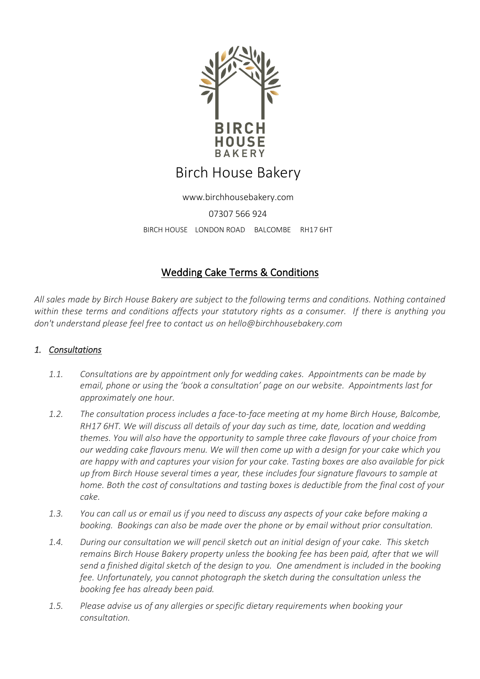

www.birchhousebakery.com 07307 566 924 BIRCH HOUSE LONDON ROAD BALCOMBE RH17 6HT

# Wedding Cake Terms & Conditions

*All sales made by Birch House Bakery are subject to the following terms and conditions. Nothing contained within these terms and conditions affects your statutory rights as a consumer. If there is anything you don't understand please feel free to contact us on hello@birchhousebakery.com*

### *1. Consultations*

- *1.1. Consultations are by appointment only for wedding cakes. Appointments can be made by email, phone or using the 'book a consultation' page on our website. Appointments last for approximately one hour.*
- *1.2. The consultation process includes a face-to-face meeting at my home Birch House, Balcombe, RH17 6HT. We will discuss all details of your day such as time, date, location and wedding themes. You will also have the opportunity to sample three cake flavours of your choice from our wedding cake flavours menu. We will then come up with a design for your cake which you are happy with and captures your vision for your cake. Tasting boxes are also available for pick up from Birch House several times a year, these includes four signature flavours to sample at home. Both the cost of consultations and tasting boxes is deductible from the final cost of your cake.*
- *1.3. You can call us or email us if you need to discuss any aspects of your cake before making a booking. Bookings can also be made over the phone or by email without prior consultation.*
- *1.4. During our consultation we will pencil sketch out an initial design of your cake. This sketch remains Birch House Bakery property unless the booking fee has been paid, after that we will send a finished digital sketch of the design to you. One amendment is included in the booking fee. Unfortunately, you cannot photograph the sketch during the consultation unless the booking fee has already been paid.*
- *1.5. Please advise us of any allergies or specific dietary requirements when booking your consultation.*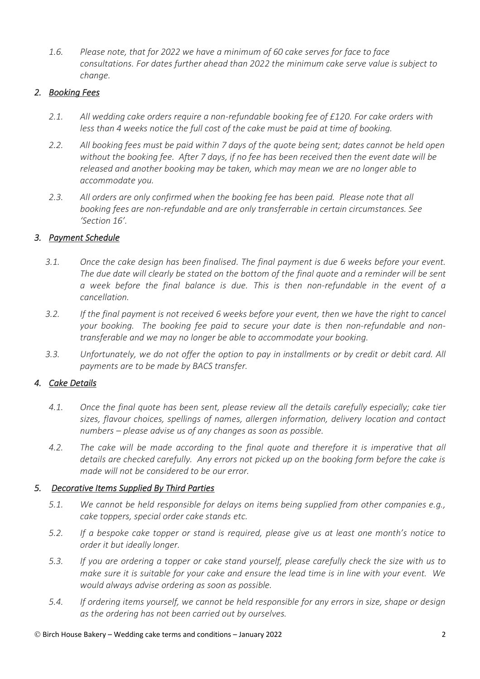*1.6. Please note, that for 2022 we have a minimum of 60 cake serves for face to face consultations. For dates further ahead than 2022 the minimum cake serve value is subject to change.* 

### *2. Booking Fees*

- *2.1. All wedding cake orders require a non-refundable booking fee of £120. For cake orders with less than 4 weeks notice the full cost of the cake must be paid at time of booking.*
- *2.2. All booking fees must be paid within 7 days of the quote being sent; dates cannot be held open without the booking fee. After 7 days, if no fee has been received then the event date will be released and another booking may be taken, which may mean we are no longer able to accommodate you.*
- *2.3. All orders are only confirmed when the booking fee has been paid. Please note that all booking fees are non-refundable and are only transferrable in certain circumstances. See 'Section 16'.*

### *3. Payment Schedule*

- *3.1. Once the cake design has been finalised. The final payment is due 6 weeks before your event. The due date will clearly be stated on the bottom of the final quote and a reminder will be sent a week before the final balance is due. This is then non-refundable in the event of a cancellation.*
- *3.2. If the final payment is not received 6 weeks before your event, then we have the right to cancel your booking. The booking fee paid to secure your date is then non-refundable and nontransferable and we may no longer be able to accommodate your booking.*
- *3.3. Unfortunately, we do not offer the option to pay in installments or by credit or debit card. All payments are to be made by BACS transfer.*

### *4. Cake Details*

- *4.1. Once the final quote has been sent, please review all the details carefully especially; cake tier sizes, flavour choices, spellings of names, allergen information, delivery location and contact numbers – please advise us of any changes as soon as possible.*
- *4.2. The cake will be made according to the final quote and therefore it is imperative that all details are checked carefully. Any errors not picked up on the booking form before the cake is made will not be considered to be our error.*

### *5. Decorative Items Supplied By Third Parties*

- *5.1. We cannot be held responsible for delays on items being supplied from other companies e.g., cake toppers, special order cake stands etc.*
- *5.2. If a bespoke cake topper or stand is required, please give us at least one month's notice to order it but ideally longer.*
- *5.3. If you are ordering a topper or cake stand yourself, please carefully check the size with us to make sure it is suitable for your cake and ensure the lead time is in line with your event. We would always advise ordering as soon as possible.*
- *5.4. If ordering items yourself, we cannot be held responsible for any errors in size, shape or design as the ordering has not been carried out by ourselves.*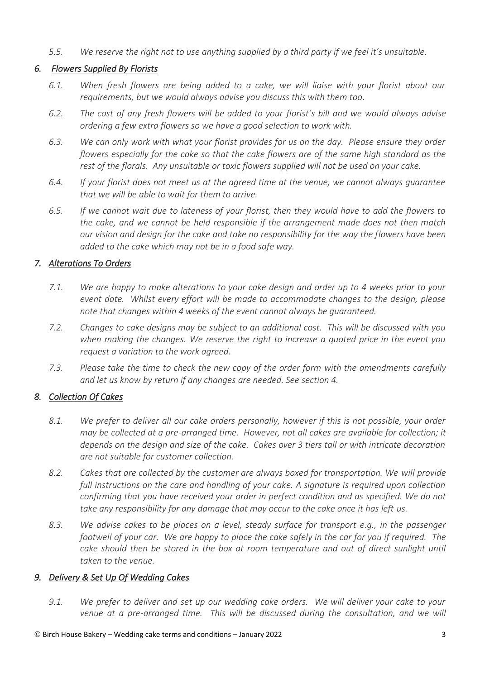*5.5. We reserve the right not to use anything supplied by a third party if we feel it's unsuitable.*

# *6. Flowers Supplied By Florists*

- *6.1. When fresh flowers are being added to a cake, we will liaise with your florist about our requirements, but we would always advise you discuss this with them too.*
- *6.2. The cost of any fresh flowers will be added to your florist's bill and we would always advise ordering a few extra flowers so we have a good selection to work with.*
- *6.3. We can only work with what your florist provides for us on the day. Please ensure they order flowers especially for the cake so that the cake flowers are of the same high standard as the rest of the florals. Any unsuitable or toxic flowers supplied will not be used on your cake.*
- *6.4. If your florist does not meet us at the agreed time at the venue, we cannot always guarantee that we will be able to wait for them to arrive.*
- *6.5. If we cannot wait due to lateness of your florist, then they would have to add the flowers to the cake, and we cannot be held responsible if the arrangement made does not then match our vision and design for the cake and take no responsibility for the way the flowers have been added to the cake which may not be in a food safe way.*

# *7. Alterations To Orders*

- *7.1. We are happy to make alterations to your cake design and order up to 4 weeks prior to your event date. Whilst every effort will be made to accommodate changes to the design, please note that changes within 4 weeks of the event cannot always be guaranteed.*
- *7.2. Changes to cake designs may be subject to an additional cost. This will be discussed with you when making the changes. We reserve the right to increase a quoted price in the event you request a variation to the work agreed.*
- *7.3. Please take the time to check the new copy of the order form with the amendments carefully and let us know by return if any changes are needed. See section 4.*

# *8. Collection Of Cakes*

- *8.1. We prefer to deliver all our cake orders personally, however if this is not possible, your order may be collected at a pre-arranged time. However, not all cakes are available for collection; it depends on the design and size of the cake. Cakes over 3 tiers tall or with intricate decoration are not suitable for customer collection.*
- *8.2. Cakes that are collected by the customer are always boxed for transportation. We will provide full instructions on the care and handling of your cake. A signature is required upon collection confirming that you have received your order in perfect condition and as specified. We do not take any responsibility for any damage that may occur to the cake once it has left us.*
- *8.3. We advise cakes to be places on a level, steady surface for transport e.g., in the passenger footwell of your car. We are happy to place the cake safely in the car for you if required. The cake should then be stored in the box at room temperature and out of direct sunlight until taken to the venue.*

### *9. Delivery & Set Up Of Wedding Cakes*

*9.1. We prefer to deliver and set up our wedding cake orders. We will deliver your cake to your venue at a pre-arranged time. This will be discussed during the consultation, and we will*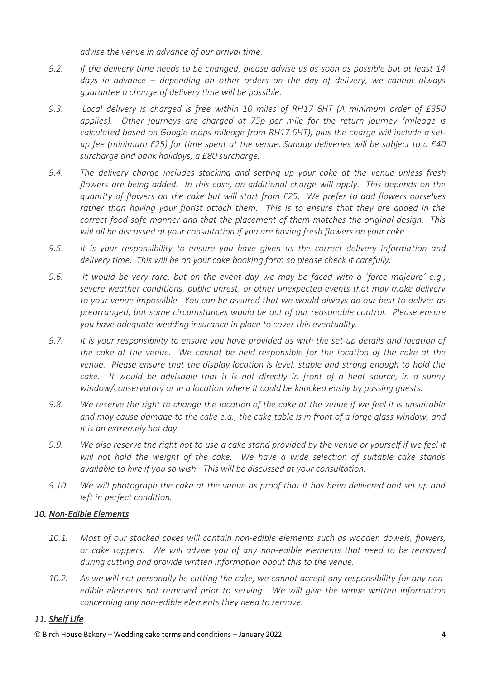*advise the venue in advance of our arrival time.*

- *9.2. If the delivery time needs to be changed, please advise us as soon as possible but at least 14 days in advance – depending on other orders on the day of delivery, we cannot always guarantee a change of delivery time will be possible.*
- *9.3. Local delivery is charged is free within 10 miles of RH17 6HT (A minimum order of £350 applies). Other journeys are charged at 75p per mile for the return journey (mileage is calculated based on Google maps mileage from RH17 6HT), plus the charge will include a setup fee (minimum £25) for time spent at the venue. Sunday deliveries will be subject to a £40 surcharge and bank holidays, a £80 surcharge.*
- *9.4. The delivery charge includes stacking and setting up your cake at the venue unless fresh flowers are being added. In this case, an additional charge will apply. This depends on the quantity of flowers on the cake but will start from £25. We prefer to add flowers ourselves rather than having your florist attach them. This is to ensure that they are added in the correct food safe manner and that the placement of them matches the original design. This will all be discussed at your consultation if you are having fresh flowers on your cake.*
- *9.5. It is your responsibility to ensure you have given us the correct delivery information and delivery time. This will be on your cake booking form so please check it carefully.*
- *9.6. It would be very rare, but on the event day we may be faced with a 'force majeure' e.g., severe weather conditions, public unrest, or other unexpected events that may make delivery to your venue impossible. You can be assured that we would always do our best to deliver as prearranged, but some circumstances would be out of our reasonable control. Please ensure you have adequate wedding insurance in place to cover this eventuality.*
- *9.7. It is your responsibility to ensure you have provided us with the set-up details and location of the cake at the venue. We cannot be held responsible for the location of the cake at the venue. Please ensure that the display location is level, stable and strong enough to hold the cake. It would be advisable that it is not directly in front of a heat source, in a sunny window/conservatory or in a location where it could be knocked easily by passing guests.*
- *9.8. We reserve the right to change the location of the cake at the venue if we feel it is unsuitable and may cause damage to the cake e.g., the cake table is in front of a large glass window, and it is an extremely hot day*
- *9.9. We also reserve the right not to use a cake stand provided by the venue or yourself if we feel it will not hold the weight of the cake. We have a wide selection of suitable cake stands available to hire if you so wish. This will be discussed at your consultation.*
- *9.10. We will photograph the cake at the venue as proof that it has been delivered and set up and left in perfect condition.*

# *10. Non-Edible Elements*

- *10.1. Most of our stacked cakes will contain non-edible elements such as wooden dowels, flowers, or cake toppers. We will advise you of any non-edible elements that need to be removed during cutting and provide written information about this to the venue.*
- *10.2. As we will not personally be cutting the cake, we cannot accept any responsibility for any nonedible elements not removed prior to serving. We will give the venue written information concerning any non-edible elements they need to remove.*

# *11. Shelf Life*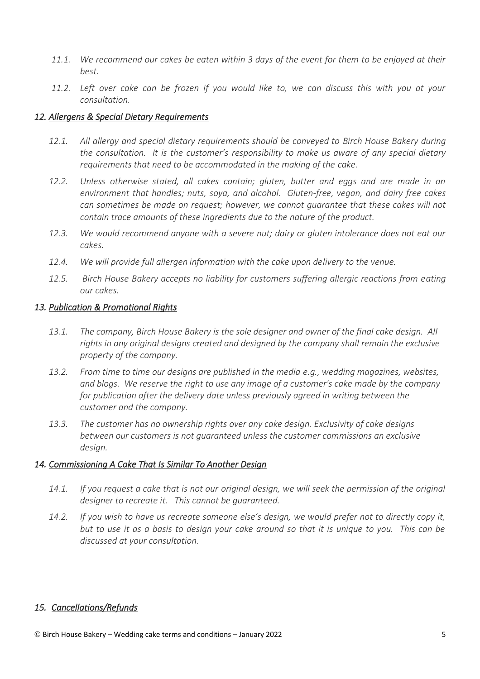- *11.1. We recommend our cakes be eaten within 3 days of the event for them to be enjoyed at their best.*
- *11.2. Left over cake can be frozen if you would like to, we can discuss this with you at your consultation.*

### *12. Allergens & Special Dietary Requirements*

- *12.1. All allergy and special dietary requirements should be conveyed to Birch House Bakery during the consultation. It is the customer's responsibility to make us aware of any special dietary requirements that need to be accommodated in the making of the cake.*
- *12.2. Unless otherwise stated, all cakes contain; gluten, butter and eggs and are made in an environment that handles; nuts, soya, and alcohol. Gluten-free, vegan, and dairy free cakes can sometimes be made on request; however, we cannot guarantee that these cakes will not contain trace amounts of these ingredients due to the nature of the product.*
- *12.3. We would recommend anyone with a severe nut; dairy or gluten intolerance does not eat our cakes.*
- *12.4. We will provide full allergen information with the cake upon delivery to the venue.*
- *12.5. Birch House Bakery accepts no liability for customers suffering allergic reactions from eating our cakes.*

#### *13. Publication & Promotional Rights*

- *13.1. The company, Birch House Bakery is the sole designer and owner of the final cake design. All rights in any original designs created and designed by the company shall remain the exclusive property of the company.*
- *13.2. From time to time our designs are published in the media e.g., wedding magazines, websites, and blogs. We reserve the right to use any image of a customer's cake made by the company for publication after the delivery date unless previously agreed in writing between the customer and the company.*
- *13.3. The customer has no ownership rights over any cake design. Exclusivity of cake designs between our customers is not guaranteed unless the customer commissions an exclusive design.*

### *14. Commissioning A Cake That Is Similar To Another Design*

- *14.1. If you request a cake that is not our original design, we will seek the permission of the original designer to recreate it. This cannot be guaranteed.*
- *14.2. If you wish to have us recreate someone else's design, we would prefer not to directly copy it, but to use it as a basis to design your cake around so that it is unique to you. This can be discussed at your consultation.*

### *15. Cancellations/Refunds*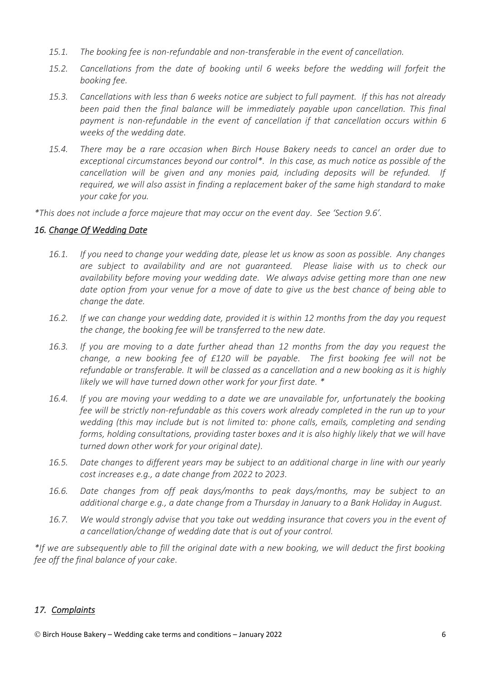- *15.1. The booking fee is non-refundable and non-transferable in the event of cancellation.*
- *15.2. Cancellations from the date of booking until 6 weeks before the wedding will forfeit the booking fee.*
- *15.3. Cancellations with less than 6 weeks notice are subject to full payment. If this has not already been paid then the final balance will be immediately payable upon cancellation. This final*  payment is non-refundable in the event of cancellation if that cancellation occurs within 6 *weeks of the wedding date.*
- *15.4. There may be a rare occasion when Birch House Bakery needs to cancel an order due to exceptional circumstances beyond our control\*. In this case, as much notice as possible of the cancellation will be given and any monies paid, including deposits will be refunded. If required, we will also assist in finding a replacement baker of the same high standard to make your cake for you.*

*\*This does not include a force majeure that may occur on the event day. See 'Section 9.6'.*

### *16. Change Of Wedding Date*

- *16.1. If you need to change your wedding date, please let us know as soon as possible. Any changes are subject to availability and are not guaranteed. Please liaise with us to check our availability before moving your wedding date. We always advise getting more than one new date option from your venue for a move of date to give us the best chance of being able to change the date.*
- *16.2. If we can change your wedding date, provided it is within 12 months from the day you request the change, the booking fee will be transferred to the new date.*
- *16.3. If you are moving to a date further ahead than 12 months from the day you request the change, a new booking fee of £120 will be payable. The first booking fee will not be refundable or transferable. It will be classed as a cancellation and a new booking as it is highly likely we will have turned down other work for your first date. \**
- *16.4. If you are moving your wedding to a date we are unavailable for, unfortunately the booking fee will be strictly non-refundable as this covers work already completed in the run up to your wedding (this may include but is not limited to: phone calls, emails, completing and sending forms, holding consultations, providing taster boxes and it is also highly likely that we will have turned down other work for your original date).*
- *16.5. Date changes to different years may be subject to an additional charge in line with our yearly cost increases e.g., a date change from 2022 to 2023.*
- *16.6. Date changes from off peak days/months to peak days/months, may be subject to an additional charge e.g., a date change from a Thursday in January to a Bank Holiday in August.*
- *16.7. We would strongly advise that you take out wedding insurance that covers you in the event of a cancellation/change of wedding date that is out of your control.*

*\*If we are subsequently able to fill the original date with a new booking, we will deduct the first booking fee off the final balance of your cake.*

#### *17. Complaints*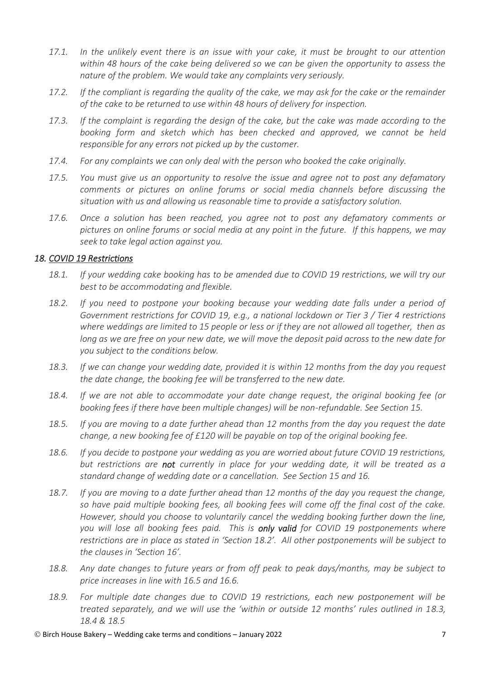- *17.1. In the unlikely event there is an issue with your cake, it must be brought to our attention within 48 hours of the cake being delivered so we can be given the opportunity to assess the nature of the problem. We would take any complaints very seriously.*
- *17.2. If the compliant is regarding the quality of the cake, we may ask for the cake or the remainder of the cake to be returned to use within 48 hours of delivery for inspection.*
- *17.3. If the complaint is regarding the design of the cake, but the cake was made according to the booking form and sketch which has been checked and approved, we cannot be held responsible for any errors not picked up by the customer.*
- *17.4. For any complaints we can only deal with the person who booked the cake originally.*
- *17.5. You must give us an opportunity to resolve the issue and agree not to post any defamatory comments or pictures on online forums or social media channels before discussing the situation with us and allowing us reasonable time to provide a satisfactory solution.*
- *17.6. Once a solution has been reached, you agree not to post any defamatory comments or pictures on online forums or social media at any point in the future. If this happens, we may seek to take legal action against you.*

### *18. COVID 19 Restrictions*

- *18.1. If your wedding cake booking has to be amended due to COVID 19 restrictions, we will try our best to be accommodating and flexible.*
- *18.2. If you need to postpone your booking because your wedding date falls under a period of Government restrictions for COVID 19, e.g., a national lockdown or Tier 3 / Tier 4 restrictions where weddings are limited to 15 people or less or if they are not allowed all together, then as long as we are free on your new date, we will move the deposit paid across to the new date for you subject to the conditions below.*
- *18.3. If we can change your wedding date, provided it is within 12 months from the day you request the date change, the booking fee will be transferred to the new date.*
- *18.4. If we are not able to accommodate your date change request, the original booking fee (or booking fees if there have been multiple changes) will be non-refundable. See Section 15.*
- *18.5. If you are moving to a date further ahead than 12 months from the day you request the date change, a new booking fee of £120 will be payable on top of the original booking fee.*
- *18.6. If you decide to postpone your wedding as you are worried about future COVID 19 restrictions, but restrictions are not currently in place for your wedding date, it will be treated as a standard change of wedding date or a cancellation. See Section 15 and 16.*
- *18.7. If you are moving to a date further ahead than 12 months of the day you request the change, so have paid multiple booking fees, all booking fees will come off the final cost of the cake. However, should you choose to voluntarily cancel the wedding booking further down the line, you will lose all booking fees paid. This is only valid for COVID 19 postponements where restrictions are in place as stated in 'Section 18.2'. All other postponements will be subject to the clauses in 'Section 16'.*
- *18.8. Any date changes to future years or from off peak to peak days/months, may be subject to price increases in line with 16.5 and 16.6.*
- *18.9. For multiple date changes due to COVID 19 restrictions, each new postponement will be treated separately, and we will use the 'within or outside 12 months' rules outlined in 18.3, 18.4 & 18.5*